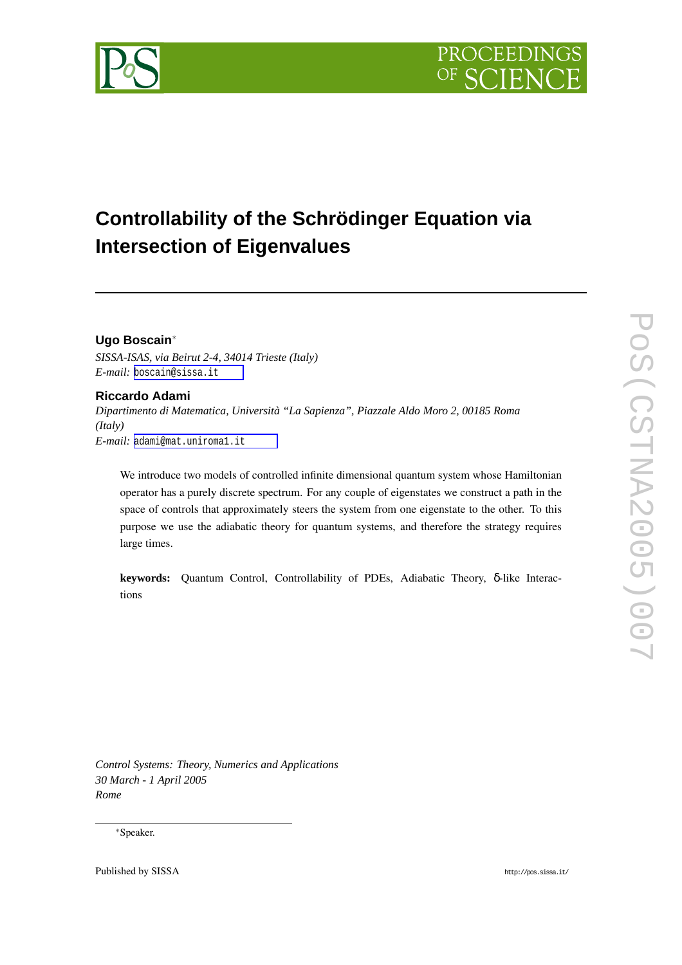



# **Controllability of the Schrödinger Equation via Intersection of Eigenvalues**

# **Ugo Boscain**<sup>∗</sup>

*SISSA-ISAS, via Beirut 2-4, 34014 Trieste (Italy) E-mail:* [boscain@sissa.it](mailto:boscain@sissa.it)

# **Riccardo Adami**

*Dipartimento di Matematica, Università "La Sapienza", Piazzale Aldo Moro 2, 00185 Roma (Italy) E-mail:* [adami@mat.uniroma1.it](mailto:adami@mat.uniroma1.it)

We introduce two models of controlled infinite dimensional quantum system whose Hamiltonian operator has a purely discrete spectrum. For any couple of eigenstates we construct a path in the space of controls that approximately steers the system from one eigenstate to the other. To this purpose we use the adiabatic theory for quantum systems, and therefore the strategy requires large times.

**keywords:** Quantum Control, Controllability of PDEs, Adiabatic Theory, δ-like Interactions

*Control Systems: Theory, Numerics and Applications 30 March - 1 April 2005 Rome*

### <sup>∗</sup>Speaker.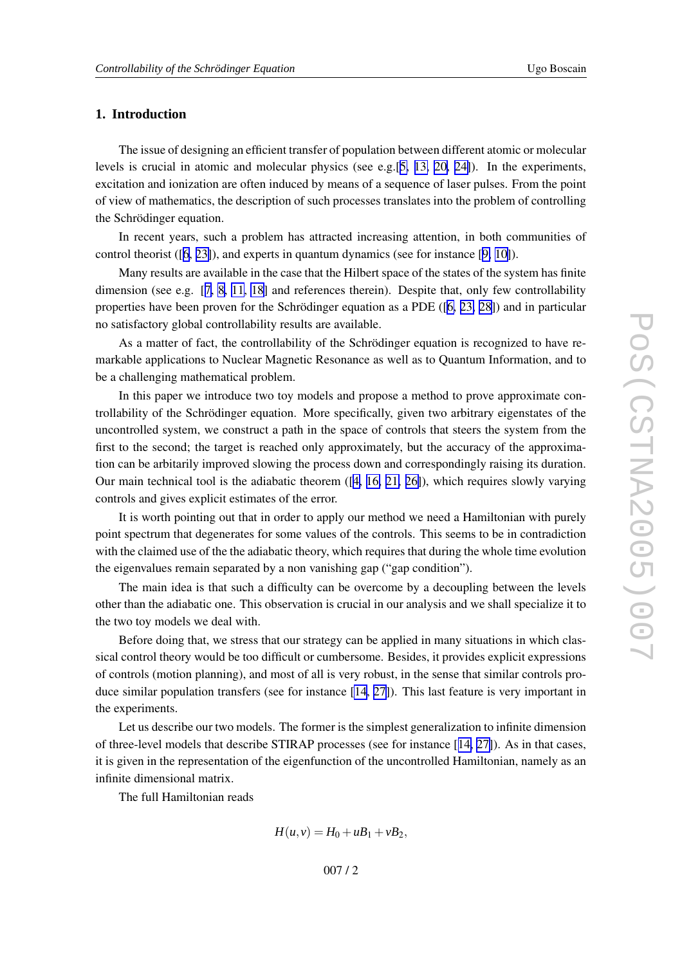# **1. Introduction**

The issue of designing an efficient transfer of population between different atomic or molecular levels is crucial in atomic and molecular physics (see e.g.[[5](#page-16-0), [13](#page-17-0), [20](#page-17-0), [24\]](#page-17-0)). In the experiments, excitation and ionization are often induced by means of a sequence of laser pulses. From the point of vie w of mathematics, the description of such processes translates into the problem of controlling the Schrödinger equation.

In recent years, such a problem has attracted increasing attention, in both communities of control theorist ([[6](#page-17-0) , [23\]](#page-17-0)), and experts in quantum dynamics (see for instance [[9](#page-17-0) , [10\]](#page-17-0)).

Man y results are a vailable in the case that the Hilbert space of the states of the system has finite dimension (see e.g. [[7](#page-17-0), [8](#page-17-0), [11](#page-17-0), [18](#page-17-0)] and references therein). Despite that, only few controllability properties have been proven for the Schrödinger equation as a PDE ([\[6](#page-17-0), [23](#page-17-0), [28\]](#page-17-0)) and in particular no satisfactory global controllability results are a vailable.

As a matter of fact, the controllability of the Schrödinger equation is recognized to have remarkable applications to Nuclear Magnetic Resonance as well as to Quantum Information, and to be a challenging mathematical problem.

In this paper we introduce two toy models and propose a method to prove approximate controllability of the Schrödinger equation. More specifically, given two arbitrary eigenstates of the uncontrolled system, we construct a path in the space of controls that steers the system from the first to the second; the target is reached only approximately, but the accuracy of the approximation can be arbitarily improved slowing the process down and correspondingly raising its duration. Our main technical tool is the adiabatic theorem ([\[4](#page-16-0), [16](#page-17-0), [21](#page-17-0), [26\]](#page-17-0)), which requires slowly varying controls and gi ves explicit estimates of the error .

It is worth pointing out that in order to apply our method we need a Hamiltonian with purely point spectrum that degenerates for some values of the controls. This seems to be in contradiction with the claimed use of the the adiabatic theory, which requires that during the whole time evolution the eigenvalues remain separated by a non vanishing gap ("gap condition").

The main idea is that such a difficulty can be overcome by a decoupling between the levels other than the adiabatic one. This observation is crucial in our analysis and we shall specialize it to the tw o to y models we deal with.

Before doing that, we stress that our strategy can be applied in many situations in which classical control theory would be too difficult or cumbersome. Besides, it provides explicit expressions of controls (motion planning), and most of all is very robust, in the sense that similar controls produce similar population transfers (see for instance [\[14](#page-17-0), [27\]](#page-17-0)). This last feature is very important in the experiments.

Let us describe our tw o models. The former is the simplest generalization to infinite dimension of three-le vel models that describe STIRAP processes (see for instance [[14](#page-17-0) , [27\]](#page-17-0)). As in that cases, it is gi ven in the representation of the eigenfunction of the uncontrolled Hamiltonian, namely as an infinite dimensional matrix.

The full Hamiltonian reads

$$
H(u, v) = H_0 + uB_1 + vB_2,
$$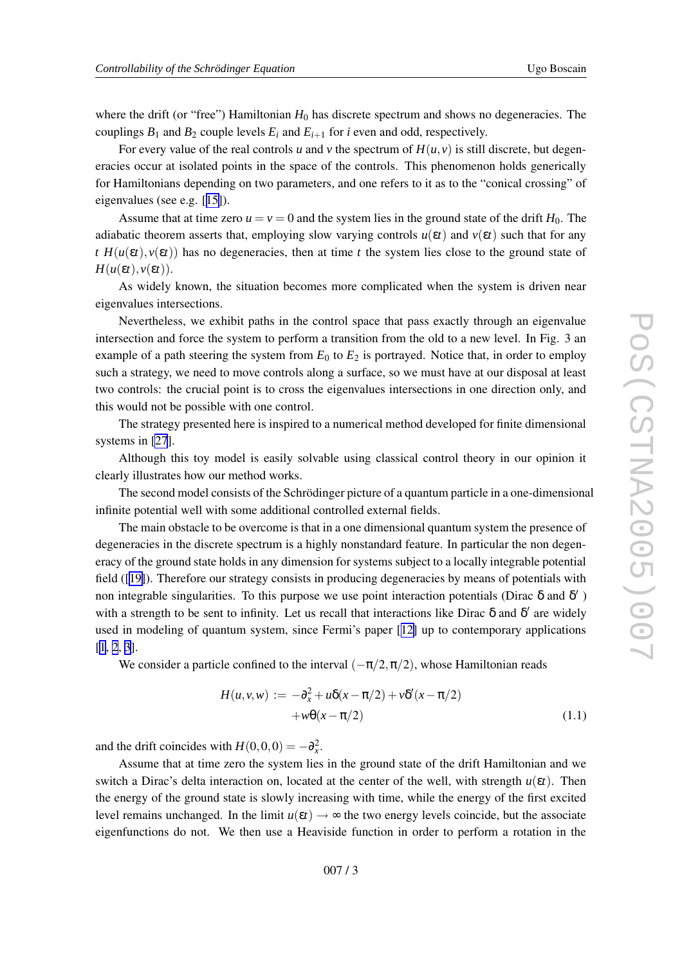<span id="page-2-0"></span>where the drift (or "free") Hamiltonian  $H_0$  has discrete spectrum and shows no degeneracies. The couplings  $B_1$  and  $B_2$  couple levels  $E_i$  and  $E_{i+1}$  for *i* even and odd, respectively.

For every value of the real controls u and v the spectrum of  $H(u, v)$  is still discrete, but degeneracies occur at isolated points in the space of the controls. This phenomenon holds generically for Hamiltonians depending on tw o parameters, and one refers to it as to the "conical crossing" of eigenvalues (see e.g. [[15\]](#page-17-0)).

Assume that at time zero  $u = v = 0$  and the system lies in the ground state of the drift  $H_0$ . The adiabatic theorem asserts that, employing slow varying controls  $u(\varepsilon t)$  and  $v(\varepsilon t)$  such that for any *t*  $H(u(\varepsilon t), v(\varepsilon t))$  has no degeneracies, then at time *t* the system lies close to the ground state of  $H(u(\varepsilon t), v(\varepsilon t)).$ 

As widely known, the situation becomes more complicated when the system is dri ven near eigenvalues intersections.

Ne vertheless, we exhibit paths in the control space that pass exactly through an eigenvalue intersection and force the system to perform a transition from the old to a new level. In Fig. 3 an example of a path steering the system from  $E_0$  to  $E_2$  is portrayed. Notice that, in order to employ such a strategy, we need to move controls along a surface, so we must have at our disposal at least tw o controls: the crucial point is to cross the eigenvalues intersections in one direction only , and this would not be possible with one control.

The strategy presented here is inspired to a numerical method de veloped for finite dimensional systems in [\[27](#page-17-0)].

Although this to y model is easily solvable using classical control theory in our opinion it clearly illustrates ho w our method works.

The second model consists of the Schrödinger picture of a quantum particle in a one-dimensional infinite potential well with some additional controlled external fields.

The main obstacle to be o vercome is that in a one dimensional quantum system the presence of degeneracies in the discrete spectrum is a highly nonstandard feature. In particular the non degeneracy of the ground state holds in any dimension for systems subject to a locally integrable potential field ([[19\]](#page-17-0)). Therefore our strategy consists in producing degeneracies by means of potentials with non integrable singularities. To this purpose we use point interaction potentials (Dirac  $\delta$  and  $\delta'$ ) with a strength to be sent to infinity. Let us recall that interactions like Dirac  $\delta$  and  $\delta'$  are widely used in modeling of quantum system, since Fermi' s paper [[12](#page-17-0) ] up to contemporary applications  $[1, 2, 3].$  $[1, 2, 3].$  $[1, 2, 3].$  $[1, 2, 3].$  $[1, 2, 3].$  $[1, 2, 3].$  $[1, 2, 3].$ 

We consider a particle confined to the interval  $(-\pi/2, \pi/2)$ , whose Hamiltonian reads

$$
H(u, v, w) := -\partial_x^2 + u\delta(x - \pi/2) + v\delta'(x - \pi/2) + w\Theta(x - \pi/2)
$$
\n(1.1)

and the drift coincides with  $H(0,0,0) = -\partial_x^2$ .

Assume that at time zero the system lies in the ground state of the drift Hamiltonian and we switch a Dirac's delta interaction on, located at the center of the well, with strength  $u(\varepsilon t)$ . Then the energy of the ground state is slowly increasing with time, while the energy of the first excited level remains unchanged. In the limit  $u(\varepsilon t) \to \infty$  the two energy levels coincide, but the associate eigenfunctions do not. We then use a Heaviside function in order to perform a rotation in the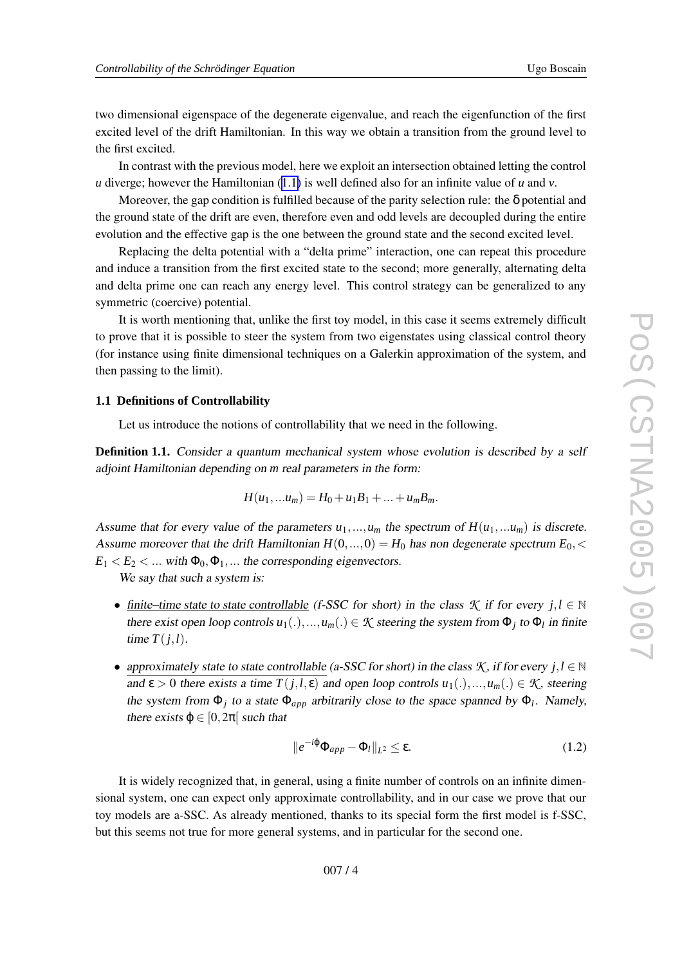<span id="page-3-0"></span>tw o dimensional eigenspace of the degenerate eigenvalue, and reach the eigenfunction of the first excited level of the drift Hamiltonian. In this way we obtain a transition from the ground level to the first excited.

In contrast with the previous model, here we exploit an intersection obtained letting the control *u* diverge; however the Hamiltonian ([1.1](#page-2-0)) is well defined also for an infinite value of *u* and *v*.

Moreover, the gap condition is fulfilled because of the parity selection rule: the δ potential and the ground state of the drift are even, therefore even and odd levels are decoupled during the entire evolution and the effective gap is the one between the ground state and the second excited level.

Replacing the delta potential with a "delta prime" interaction, one can repeat this procedure and induce a transition from the first excited state to the second; more generally , alternating delta and delta prime one can reach any energy level. This control strategy can be generalized to any symmetric (coerci ve) potential.

It is worth mentioning that, unlike the first toy model, in this case it seems extremely difficult to prove that it is possible to steer the system from two eigenstates using classical control theory (for instance using finite dimensional techniques on a Galerkin approximation of the system, and then passing to the limit).

#### **1.1 Definitions of Controllability**

Let us introduce the notions of controllability that we need in the following.

**Definition 1.1.** Consider a quantum mechanical system whose evolution is described by a self adjoint Hamiltonian depending on *m* real parameters in the form:

$$
H(u_1,...u_m) = H_0 + u_1B_1 + ... + u_mB_m.
$$

Assume that for every value of the parameters  $u_1, ..., u_m$  the spectrum of  $H(u_1, ... u_m)$  is discrete. Assume moreover that the drift Hamiltonian  $H(0, ..., 0) = H_0$  has non degenerate spectrum  $E_0$ , <  $E_1 < E_2 < ...$  with  $\Phi_0, \Phi_1, ...$  the corresponding eigenvectors.

We say that such a system is:

- finite–time state to state controllable (f-SSC for short) in the class  $K$  if for every  $j, l \in \mathbb{N}$ there exist open loop controls  $u_1(.)$ , ...,  $u_m(.) \in \mathcal{K}$  steering the system from  $\Phi_j$  to  $\Phi_l$  in finite time  $T(j, l)$ .
- approximately state to state controllable (a-SSC for short) in the class  $K$ , if for every  $j, l \in \mathbb{N}$ and  $\varepsilon > 0$  there exists a time  $T(j, l, \varepsilon)$  and open loop controls  $u_1(.) ,..., u_m(.) \in \mathcal{K}$ , steering the system from  $\Phi_j$  to a state  $\Phi_{app}$  arbitrarily close to the space spanned by  $\Phi_l$ . Namely, there exists  $\varphi \in [0, 2\pi]$  such that

$$
||e^{-i\varphi}\Phi_{app} - \Phi_l||_{L^2} \le \varepsilon. \tag{1.2}
$$

It is widely recognized that, in general, using a finite number of controls on an infinite dimensional system, one can expect only approximate controllability, and in our case we prove that our to y models are a-SSC. As already mentioned, thanks to its special form the first model is f-SSC, but this seems not true for more general systems, and in particular for the second one.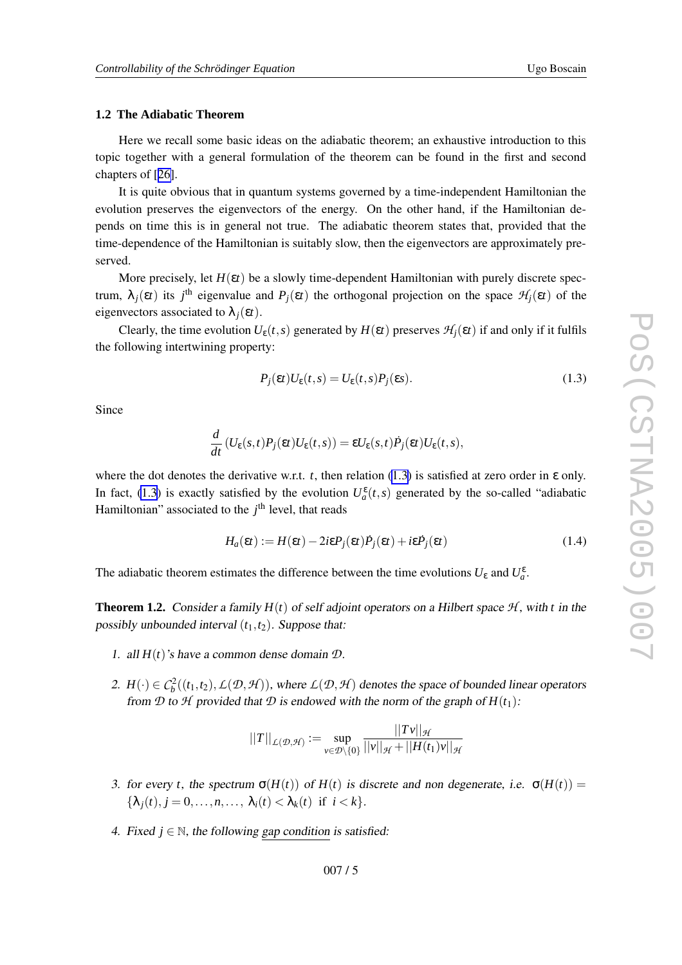## <span id="page-4-0"></span>**1.2 The Adiabatic Theorem**

Here we recall some basic ideas on the adiabatic theorem; an exhaustive introduction to this topic together with a general formulation of the theorem can be found in the first and second chapters of [[26\]](#page-17-0).

It is quite obvious that in quantum systems go verned by a time-independent Hamiltonian the e volution preserves the eigenvectors of the energy . On the other hand, if the Hamiltonian depends on time this is in general not true. The adiabatic theorem states that, provided that the time-dependence of the Hamiltonian is suitably slo w , then the eigenvectors are approximately preserved.

More precisely, let  $H(\varepsilon t)$  be a slowly time-dependent Hamiltonian with purely discrete spectrum,  $\lambda_j(\varepsilon t)$  its *j*<sup>th</sup> eigenvalue and  $P_j(\varepsilon t)$  the orthogonal projection on the space  $\mathcal{H}_j(\varepsilon t)$  of the eigenvectors associated to  $\lambda_j(\varepsilon t)$ .

Clearly, the time evolution  $U_{\varepsilon}(t, s)$  generated by  $H(\varepsilon t)$  preserves  $\mathcal{H}_j(\varepsilon t)$  if and only if it fulfils the following intertwining property:

$$
P_j(\varepsilon t)U_{\varepsilon}(t,s) = U_{\varepsilon}(t,s)P_j(\varepsilon s).
$$
\n(1.3)

Since

$$
\frac{d}{dt}\left(U_{\varepsilon}(s,t)P_j(\varepsilon t)U_{\varepsilon}(t,s)\right)=\varepsilon U_{\varepsilon}(s,t)\dot{P}_j(\varepsilon t)U_{\varepsilon}(t,s),
$$

where the dot denotes the derivative w.r.t.  $t$ , then relation (1.3) is satisfied at zero order in  $\varepsilon$  only. In fact, (1.3) is exactly satisfied by the evolution  $U_a^{\varepsilon}(t,s)$  generated by the so-called "adiabatic Hamiltonian" associated to the j<sup>th</sup> level, that reads

$$
H_a(\varepsilon t) := H(\varepsilon t) - 2i\varepsilon P_j(\varepsilon t) \dot{P}_j(\varepsilon t) + i\varepsilon \dot{P}_j(\varepsilon t)
$$
\n(1.4)

The adiabatic theorem estimates the difference between the time evolutions  $U_{\varepsilon}$  and  $U_{a}^{\varepsilon}$ .

**Theorem 1.2.** Consider a family  $H(t)$  of self adjoint operators on a Hilbert space  $H$ , with t in the possibly unbounded interval  $(t_1, t_2)$ . Suppose that:

- 1. all  $H(t)$ 's have a common dense domain  $D$ .
- 2.  $H(\cdot) \in C_b^2((t_1, t_2), L(\mathcal{D}, \mathcal{H}))$ , where  $L(\mathcal{D}, \mathcal{H})$  denotes the space of bounded linear operators from  $D$  to  $H$  provided that  $D$  is endowed with the norm of the graph of  $H(t_1)$ :

$$
||T||_{\mathcal{L}(\mathcal{D},\mathcal{H})} := \sup_{v \in \mathcal{D} \setminus \{0\}} \frac{||Tv||_{\mathcal{H}}}{||v||_{\mathcal{H}} + ||H(t_1)v||_{\mathcal{H}}}
$$

- 3. for every *t*, the spectrum  $\sigma(H(t))$  of  $H(t)$  is discrete and non degenerate, i.e.  $\sigma(H(t)) =$  $\{\lambda_j(t), j = 0, \ldots, n, \ldots, \lambda_i(t) < \lambda_k(t) \text{ if } i < k\}.$
- 4. Fixed  $j \in \mathbb{N}$ , the following gap condition is satisfied: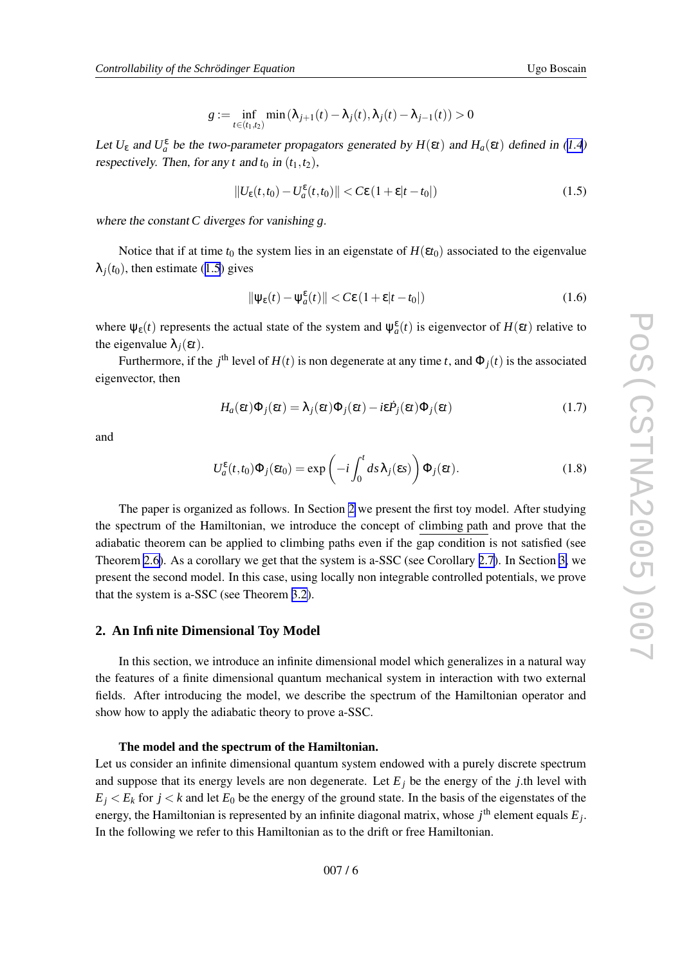$$
g := \inf_{t \in (t_1, t_2)} \min(\lambda_{j+1}(t) - \lambda_j(t), \lambda_j(t) - \lambda_{j-1}(t)) > 0
$$

<span id="page-5-0"></span>Let  $U_{\varepsilon}$  and  $U_{a}^{\varepsilon}$  be the two-parameter propagators generated by  $H(\varepsilon t)$  and  $H_{a}(\varepsilon t)$  defined in [\(1.4](#page-4-0)) respectively. Then, for any *t* and  $t_0$  in  $(t_1, t_2)$ ,

$$
||U_{\varepsilon}(t,t_0) - U_{a}^{\varepsilon}(t,t_0)|| < C\varepsilon (1 + \varepsilon |t - t_0|)
$$
\n(1.5)

where the constant *C* diverges for vanishing *g* .

Notice that if at time  $t_0$  the system lies in an eigenstate of  $H(\varepsilon t_0)$  associated to the eigenvalue  $\lambda_j(t_0)$ , then estimate (1.5) gives

$$
\|\psi_{\varepsilon}(t) - \psi_a^{\varepsilon}(t)\| < C\varepsilon \left(1 + \varepsilon |t - t_0|\right) \tag{1.6}
$$

where  $\psi_{\epsilon}(t)$  represents the actual state of the system and  $\psi_{a}^{\epsilon}(t)$  is eigenvector of  $H(\epsilon t)$  relative to the eigenvalue  $\lambda_j(\varepsilon t)$ .

Furthermore, if the *j*<sup>th</sup> level of  $H(t)$  is non degenerate at any time *t*, and  $\Phi_j(t)$  is the associated eigenvector , then

$$
H_a(\varepsilon t)\Phi_j(\varepsilon t) = \lambda_j(\varepsilon t)\Phi_j(\varepsilon t) - i\varepsilon \dot{P}_j(\varepsilon t)\Phi_j(\varepsilon t)
$$
\n(1.7)

and

$$
U_a^{\varepsilon}(t,t_0)\Phi_j(\varepsilon t_0) = \exp\left(-i\int_0^t ds \lambda_j(\varepsilon s)\right)\Phi_j(\varepsilon t).
$$
 (1.8)

The paper is organized as follows. In Section 2 we present the first toy model. After studying the spectrum of the Hamiltonian, we introduce the concept of climbing path and prove that the adiabatic theorem can be applied to climbing paths e ven if the gap condition is not satisfied (see Theorem [2.6\)](#page-11-0). As a corollary we get that the system is a-SSC (see Corollary [2.7](#page-11-0)). In Section [3](#page-12-0), we present the second model. In this case, using locally non integrable controlled potentials, we prove that the system is a-SSC (see Theorem [3.2\)](#page-16-0).

## **2. An Infinite Dimensional Toy Model**

In this section, we introduce an infinite dimensional model which generalizes in a natural way the features of a finite dimensional quantum mechanical system in interaction with tw o external fields. After introducing the model, we describe the spectrum of the Hamiltonian operator and show how to apply the adiabatic theory to prove a-SSC.

#### **The model and the spectrum of the Hamiltonian.**

Let us consider an infinite dimensional quantum system endowed with a purely discrete spectrum and suppose that its energy levels are non degenerate. Let  $E_j$  be the energy of the *j*.th level with  $E_j \le E_k$  for  $j \le k$  and let  $E_0$  be the energy of the ground state. In the basis of the eigenstates of the energy, the Hamiltonian is represented by an infinite diagonal matrix, whose  $j^{\text{th}}$  element equals  $E_j$ . In the following we refer to this Hamiltonian as to the drift or free Hamiltonian.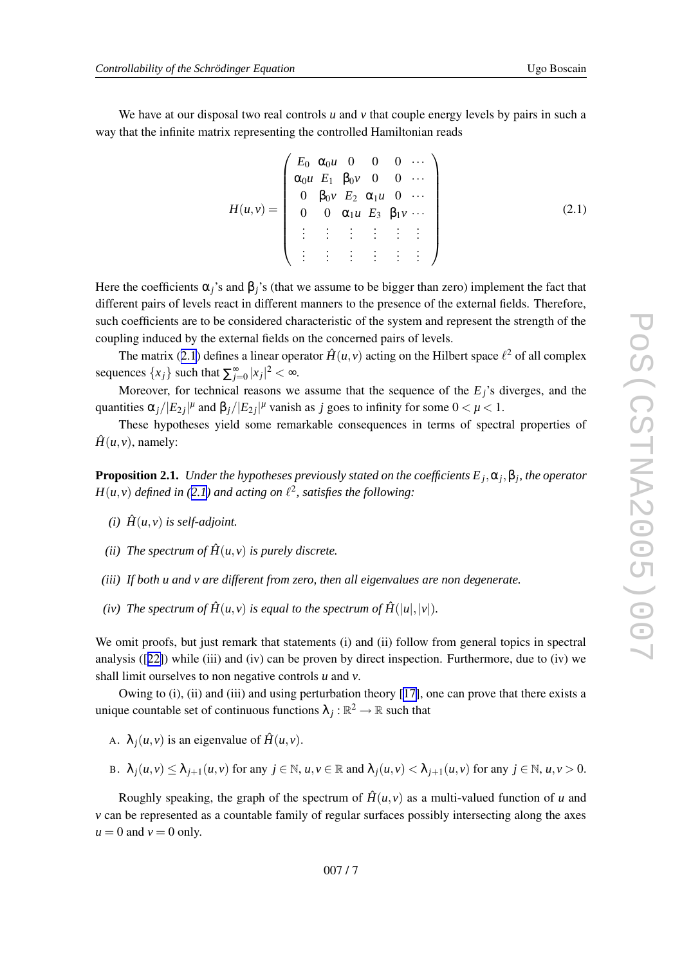<span id="page-6-0"></span>We have at our disposal two real controls  $u$  and  $v$  that couple energy levels by pairs in such a way that the infinite matrix representing the controlled Hamiltonian reads

$$
H(u,v) = \begin{pmatrix} E_0 & \alpha_0 u & 0 & 0 & 0 & \cdots \\ \alpha_0 u & E_1 & \beta_0 v & 0 & 0 & \cdots \\ 0 & \beta_0 v & E_2 & \alpha_1 u & 0 & \cdots \\ 0 & 0 & \alpha_1 u & E_3 & \beta_1 v & \cdots \\ \vdots & \vdots & \vdots & \vdots & \vdots & \vdots \\ \vdots & \vdots & \vdots & \vdots & \vdots & \vdots \end{pmatrix}
$$
(2.1)

Here the coefficients  $\alpha_j$ 's and  $\beta_j$ 's (that we assume to be bigger than zero) implement the fact that different pairs of levels react in different manners to the presence of the external fields. Therefore, such coefficients are to be considered characteristic of the system and represent the strength of the coupling induced by the external fields on the concerned pairs of levels.

The matrix (2.1) defines a linear operator  $\hat{H}(u, v)$  acting on the Hilbert space  $\ell^2$  of all complex sequences  $\{x_j\}$  such that  $\sum_{j=0}^{\infty} |x_j|^2 < \infty$ .

Moreover, for technical reasons we assume that the sequence of the  $E_j$ 's diverges, and the quantities  $\alpha_j/|E_{2j}|^{\mu}$  and  $\beta_j/|E_{2j}|^{\mu}$  vanish as *j* goes to infinity for some  $0 < \mu < 1$ .

These hypotheses yield some remarkable consequences in terms of spectral properties of  $\hat{H}(u, v)$ , namely:

**Proposition 2.1.** Under the hypotheses previously stated on the coefficients  $E_j, \alpha_j, \beta_j$ , the operator *H*(*u*,*v*) *defined in* (2.1) *and acting on*  $l^2$ , *satisfies the following*:

- $(i)$   $\hat{H}(u, v)$  *is self-adjoint.*
- (*ii*) The spectrum of  $\hat{H}(u, v)$  is purely discrete.
- *(iii) If both u and v are different from zero, then all eigenvalues are non degenerate .*
- *(iv) The spectrum of*  $\hat{H}(u, v)$  *<i>is equal to the spectrum of*  $\hat{H}(|u|, |v|)$ *.*

We omit proofs, but just remark that statements (i) and (ii) follow from general topics in spectral analysis ([[22\]](#page-17-0)) while (iii) and (iv) can be pro ven by direct inspection. Furthermore, due to (iv) we shall limit ourselves to non negative controls  $u$  and  $v$ .

Owing to (i), (ii) and (iii) and using perturbation theory [[17\]](#page-17-0), one can prove that there exists a unique countable set of continuous functions  $\lambda_j : \mathbb{R}^2 \to \mathbb{R}$  such that

- A.  $\lambda_j(u, v)$  is an eigenvalue of  $\hat{H}(u, v)$ .
- B.  $\lambda_j(u, v) \leq \lambda_{j+1}(u, v)$  for any  $j \in \mathbb{N}$ ,  $u, v \in \mathbb{R}$  and  $\lambda_j(u, v) < \lambda_{j+1}(u, v)$  for any  $j \in \mathbb{N}$ ,  $u, v > 0$ .

Roughly speaking, the graph of the spectrum of  $\hat{H}(u, v)$  as a multi-valued function of u and *v* can be represented as a countable family of regular surfaces possibly intersecting along the axes  $u = 0$  and  $v = 0$  only.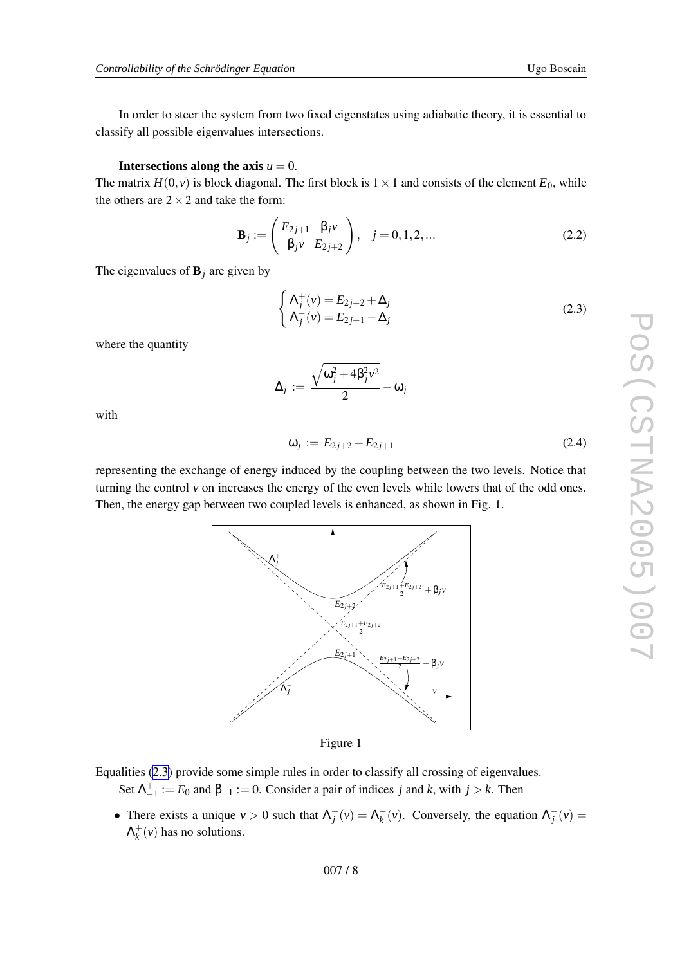In order to steer the system from tw o fixed eigenstates using adiabatic theory , it is essential to classify all possible eigenvalues intersections.

#### **Intersections along the axis**  $u = 0$ .

The matrix  $H(0, v)$  is block diagonal. The first block is  $1 \times 1$  and consists of the element  $E_0$ , while the others are  $2 \times 2$  and take the form:

$$
\mathbf{B}_{j} := \begin{pmatrix} E_{2j+1} & \beta_{j} v \\ \beta_{j} v & E_{2j+2} \end{pmatrix}, \quad j = 0, 1, 2, ... \tag{2.2}
$$

The eigenvalues of  $\mathbf{B}_j$  are given by

$$
\begin{cases}\n\Lambda_j^+(v) = E_{2j+2} + \Delta_j \\
\Lambda_j^-(v) = E_{2j+1} - \Delta_j\n\end{cases}
$$
\n(2.3)

where the quantity

$$
\Delta_j := \frac{\sqrt{\omega_j^2 + 4\beta_j^2 \nu^2}}{2} - \omega_j
$$

with

$$
\omega_j := E_{2j+2} - E_{2j+1} \tag{2.4}
$$

representing the exchange of energy induced by the coupling between the two levels. Notice that turning the control v on increases the energy of the even levels while lowers that of the odd ones. Then, the energy gap between tw o coupled le vels is enhanced, as shown in Fig. 1.



Equalities (2.3 ) provide some simple rules in order to classify all crossing of eigenvalues. Set  $\Lambda_{-1}^+ := E_0$  and  $\beta_{-1} := 0$ . Consider a pair of indices *j* and *k*, with  $j > k$ . Then

• There exists a unique  $v > 0$  such that  $\Lambda_j^+(v) = \Lambda_k^-(v)$ . Conversely, the equation  $\Lambda_j^-(v) =$  $\Lambda_k^+(v)$  has no solutions.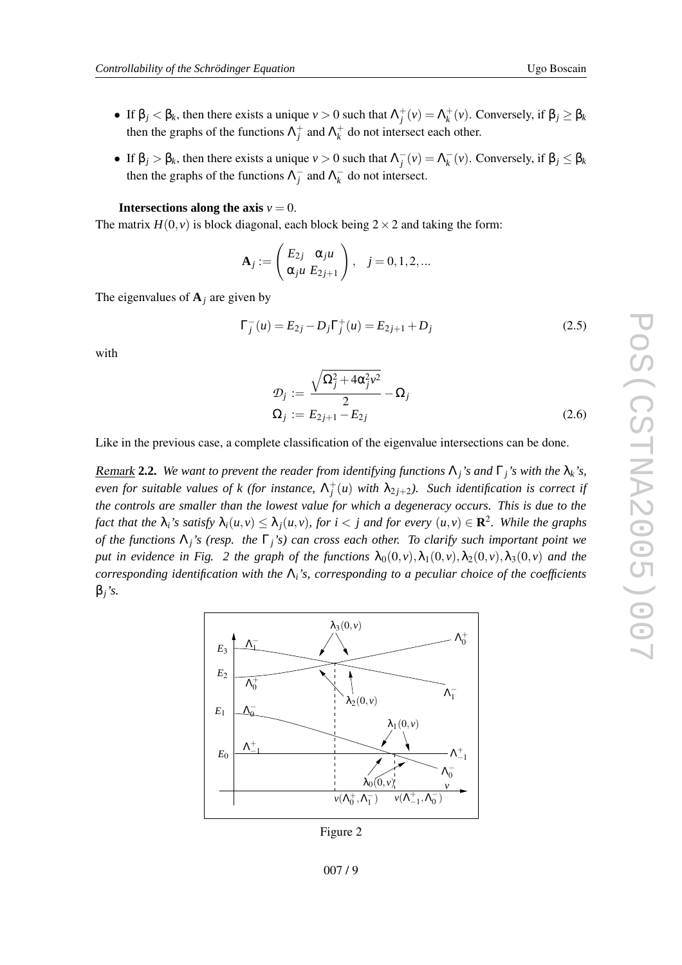- If  $\beta_j < \beta_k$ , then there exists a unique  $\nu > 0$  such that  $\Lambda_i^+(v) = \Lambda_k^+(v)$ . Conversely, if  $\beta_j \ge \beta_k$ then the graphs of the functions  $\Lambda_j^+$  and  $\Lambda_k^+$  do not intersect each other.
- If  $\beta_j > \beta_k$ , then there exists a unique  $v > 0$  such that  $\Lambda_j^-(v) = \Lambda_k^-(v)$ . Conversely, if  $\beta_j \le \beta_k$ then the graphs of the functions  $\Lambda_j^-$  and  $\Lambda_k^-$  do not intersect.

**Intersections along the axis**  $v = 0$ .

The matrix  $H(0, v)$  is block diagonal, each block being  $2 \times 2$  and taking the form:

$$
\mathbf{A}_j := \begin{pmatrix} E_{2j} & \alpha_{j} u \\ \alpha_{j} u & E_{2j+1} \end{pmatrix}, \quad j = 0, 1, 2, \dots
$$

The eigenvalues of  $A_j$  are given by

$$
\Gamma_j^-(u) = E_{2j} - D_j \Gamma_j^+(u) = E_{2j+1} + D_j \tag{2.5}
$$

with

$$
\mathcal{D}_j := \frac{\sqrt{\Omega_j^2 + 4\alpha_j^2 v^2}}{2} - \Omega_j
$$
  
\n
$$
\Omega_j := E_{2j+1} - E_{2j}
$$
\n(2.6)

Lik e in the previous case, a complete classification of the eigenvalue intersections can be done.

**Remark 2.2.** We want to prevent the reader from identifying functions  $\Lambda_j$ 's and  $\Gamma_j$ 's with the  $\lambda_k$ 's, even for suitable values of k (for instance,  $\Lambda_j^+(u)$  with  $\lambda_{2j+2}$ ). Such identification is correct if the controls are smaller than the lowest value for which a degeneracy occurs. This is due to the fact that the  $\lambda_i$ 's satisfy  $\lambda_i(u,v) \leq \lambda_j(u,v)$ , for  $i < j$  and for every  $(u,v) \in \mathbf{R}^2$ . While the graphs of the functions  $\Lambda_j$ 's (resp. the  $\Gamma_j$ 's) can cross each other. To clarify such important point we put in evidence in Fig. 2 the graph of the functions  $\lambda_0(0, v), \lambda_1(0, v), \lambda_2(0, v), \lambda_3(0, v)$  and the *corresponding identification with the*  $\Lambda_i$ 's, *corresponding to a peculiar choice of the coefficients* β *j 's.*



Figure 2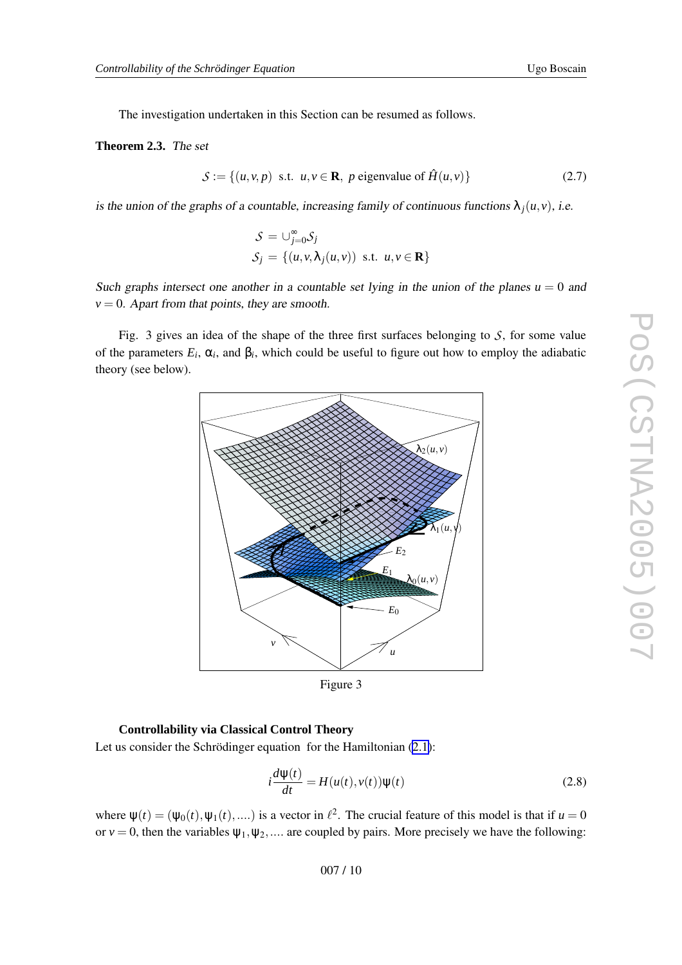<span id="page-9-0"></span>The investigation undertaken in this Section can be resumed as follows.

#### **Theorem 2.3.** The set

$$
S := \{(u, v, p) \text{ s.t. } u, v \in \mathbf{R}, \ p \text{ eigenvalue of } \hat{H}(u, v)\}\
$$
 (2.7)

is the union of the graphs of a countable, increasing family of continuous functions  $\lambda_j(u, v)$ , i.e.

$$
S = \bigcup_{j=0}^{\infty} S_j
$$
  

$$
S_j = \{(u, v, \lambda_j(u, v)) \text{ s.t. } u, v \in \mathbf{R}\}\
$$

Such graphs intersect one another in a countable set lying in the union of the planes  $u = 0$  and  $v = 0$ . Apart from that points, they are smooth.

Fig. 3 gives an idea of the shape of the three first surfaces belonging to S, for some value of the parameters  $E_i$ ,  $\alpha_i$ , and  $\beta_i$ , which could be useful to figure out how to employ the adiabatic theory (see below).



Figure 3

#### **Controllability via Classical Control Theory**

Let us consider the Schrödinger equation for the Hamiltonian ([2.1\)](#page-6-0):

$$
i\frac{d\psi(t)}{dt} = H(u(t), v(t))\psi(t)
$$
\n(2.8)

where  $\psi(t) = (\psi_0(t), \psi_1(t), \dots)$  is a vector in  $\ell^2$ . The crucial feature of this model is that if  $u = 0$ or  $v = 0$ , then the variables  $\psi_1, \psi_2, \dots$  are coupled by pairs. More precisely we have the following: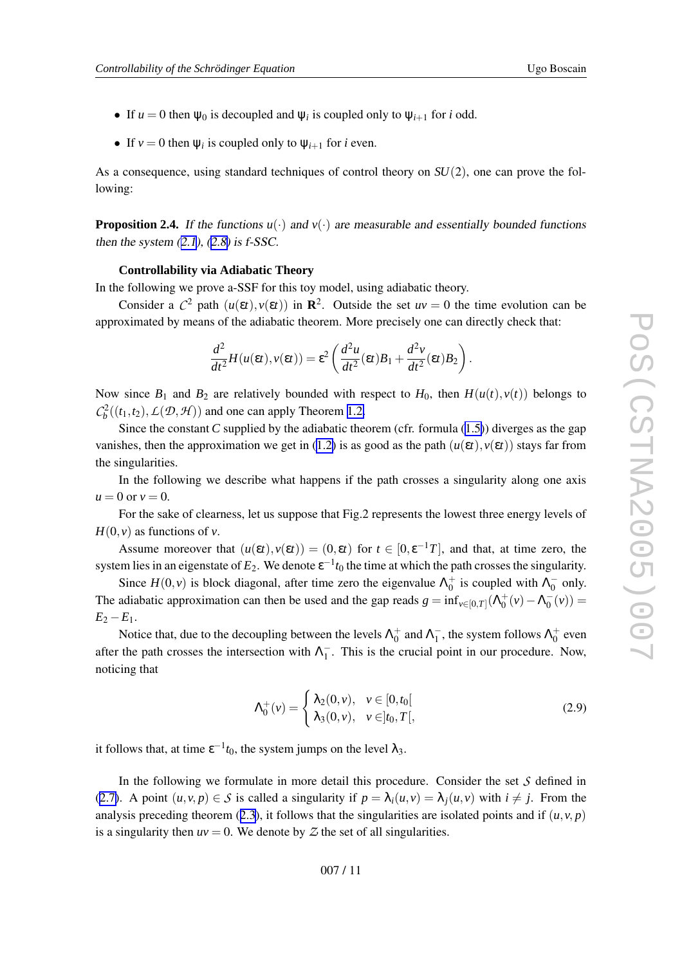- If  $u = 0$  then  $\psi_0$  is decoupled and  $\psi_i$  is coupled only to  $\psi_{i+1}$  for *i* odd.
- If  $v = 0$  then  $\psi_i$  is coupled only to  $\psi_{i+1}$  for *i* even.

As a consequence, using standard techniques of control theory on  $SU(2)$ , one can prove the following:

**Proposition 2.4.** If the functions  $u(\cdot)$  and  $v(\cdot)$  are measurable and essentially bounded functions then the system  $(2.1)$  $(2.1)$ ,  $(2.8)$  is f-SSC.

#### **Controllability via Adiabatic Theory**

In the following we prove a-SSF for this toy model, using adiabatic theory.

Consider a  $C^2$  path  $(u(\varepsilon t), v(\varepsilon t))$  in  $\mathbb{R}^2$ . Outside the set  $uv = 0$  the time evolution can be approximated by means of the adiabatic theorem. More precisely one can directly check that:

$$
\frac{d^2}{dt^2}H(u(\varepsilon t),v(\varepsilon t))=\varepsilon^2\left(\frac{d^2u}{dt^2}(\varepsilon t)B_1+\frac{d^2v}{dt^2}(\varepsilon t)B_2\right).
$$

Now since  $B_1$  and  $B_2$  are relatively bounded with respect to  $H_0$ , then  $H(u(t), v(t))$  belongs to  $\mathcal{C}_b^2((t_1, t_2), \mathcal{L}(\mathcal{D}, \mathcal{H}))$  and one can apply Theorem [1.2](#page-4-0).

Since the constant C supplied by the adiabatic theorem (cfr. formula ([1.5\)](#page-5-0)) diverges as the gap vanishes, then the approximation we get in [\(1.2](#page-3-0)) is as good as the path  $(u(\varepsilon t), v(\varepsilon t))$  stays far from the singularities.

In the following we describe what happens if the path crosses a singularity along one axis  $u = 0$  or  $v = 0$ .

For the sake of clearness, let us suppose that Fig.2 represents the lowest three energy levels of  $H(0, v)$  as functions of v.

Assume moreover that  $(u(\varepsilon t), v(\varepsilon t)) = (0, \varepsilon t)$  for  $t \in [0, \varepsilon^{-1} T]$ , and that, at time zero, the system lies in an eigenstate of  $E_2$ . We denote  $\varepsilon^{-1} t_0$  the time at which the path crosses the singularity.

Since  $H(0, v)$  is block diagonal, after time zero the eigenvalue  $\Lambda_0^+$  is coupled with  $\Lambda_0^-$  only. The adiabatic approximation can then be used and the gap reads  $g = \inf_{v \in [0,T]} (\Lambda_0^+(v) - \Lambda_0^-(v)) =$  $E_2 - E_1$ .

Notice that, due to the decoupling between the levels  $\Lambda_0^+$  and  $\Lambda_1^-$ , the system follows  $\Lambda_0^+$  even after the path crosses the intersection with  $\Lambda_1^-$ . This is the crucial point in our procedure. Now, noticing that

$$
\Lambda_0^+(v) = \begin{cases} \lambda_2(0, v), & v \in [0, t_0[\\ \lambda_3(0, v), & v \in ]t_0, T[, \end{cases}
$$
\n(2.9)

it follows that, at time  $\varepsilon^{-1} t_0$ , the system jumps on the level  $\lambda_3$ .

In the following we formulate in more detail this procedure. Consider the set *S* defined in ([2.7\)](#page-9-0). A point  $(u, v, p) \in S$  is called a singularity if  $p = \lambda_i(u, v) = \lambda_j(u, v)$  with  $i \neq j$ . From the analysis preceding theorem ([2.3\)](#page-9-0), it follows that the singularities are isolated points and if  $(u, v, p)$ is a singularity then  $uv = 0$ . We denote by  $Z$  the set of all singularities.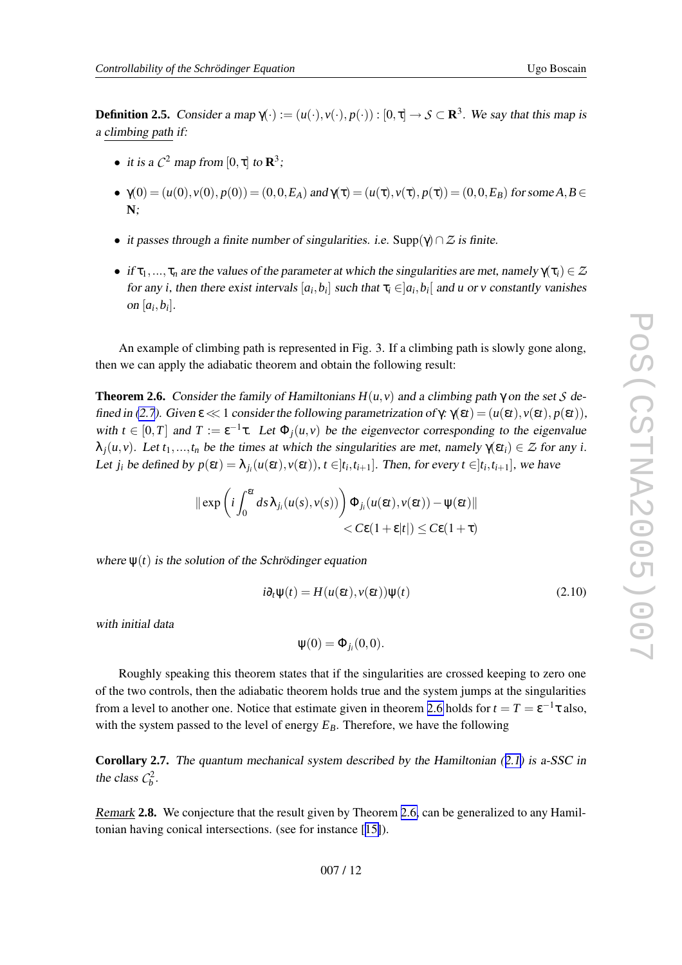<span id="page-11-0"></span>**Definition 2.5.** Consider a map  $\gamma(\cdot) := (u(\cdot), v(\cdot), p(\cdot)) : [0, \tau] \to S \subset \mathbb{R}^3$ . We say that this map is <sup>a</sup> climbing path if:

- it is a  $C^2$  map from  $[0, \tau]$  to  $\mathbb{R}^3$ ;
- $\gamma(0) = (u(0), v(0), p(0)) = (0, 0, E_A)$  and  $\gamma(\tau) = (u(\tau), v(\tau), p(\tau)) = (0, 0, E_B)$  for some  $A, B \in$ **N** ;
- it passes through a finite number of singularities. i.e.  $\text{Supp}(\gamma) \cap \mathcal{Z}$  is finite.
- if  $\tau_1, ..., \tau_n$  are the values of the parameter at which the singularities are met, namely  $\gamma(\tau_i) \in \mathbb{Z}$ for any *i*, then there exist intervals  $[a_i, b_i]$  such that  $\tau_i \in ]a_i, b_i[$  and *u* or *v* constantly vanishes on  $[a_i, b_i]$ .

An example of climbing path is represented in Fig. 3. If a climbing path is slowly gone along, then we can apply the adiabatic theorem and obtain the following result:

**Theorem 2.6.** Consider the family of Hamiltonians  $H(u, v)$  and a climbing path  $\gamma$  on the set S de-fined in [\(2.7\)](#page-9-0). Given  $\epsilon \ll 1$  consider the following parametrization of  $\gamma$ :  $\gamma(\epsilon t) = (u(\epsilon t), v(\epsilon t), p(\epsilon t)),$ with  $t \in [0, T]$  and  $T := \varepsilon^{-1} \tau$ . Let  $\Phi_j(u, v)$  be the eigenvector corresponding to the eigenvalue  $\lambda_j(u, v)$ . Let  $t_1, ..., t_n$  be the times at which the singularities are met, namely  $\gamma(\epsilon t_i) \in \mathcal{Z}$  for any *i*. Let  $j_i$  be defined by  $p(\varepsilon t) = \lambda_{j_i}(u(\varepsilon t), v(\varepsilon t)), t \in ]t_i, t_{i+1}].$  Then, for every  $t \in ]t_i, t_{i+1}]$ , we have

$$
\|\exp\left(i\int_0^{\epsilon t} ds\lambda_{j_i}(u(s),v(s))\right)\Phi_{j_i}(u(\epsilon t),v(\epsilon t))-\psi(\epsilon t)\|
$$
  
< 
$$
< C\epsilon(1+\epsilon|t|) \leq C\epsilon(1+\tau)
$$

where  $\psi(t)$  is the solution of the Schrödinger equation

$$
i\partial_t \psi(t) = H(u(\varepsilon t), v(\varepsilon t))\psi(t)
$$
\n(2.10)

with initial data

$$
\psi(0) = \Phi_{j_i}(0,0).
$$

Roughly speaking this theorem states that if the singularities are crossed keeping to zero one of the tw o controls, then the adiabatic theorem holds true and the system jumps at the singularities from a level to another one. Notice that estimate given in theorem 2.6 holds for  $t = T = \varepsilon^{-1} \tau$  also, with the system passed to the level of energy  $E_B$ . Therefore, we have the following

**Corollary 2.7.** The quantum mechanical system described by the Hamiltonian ([2.1\)](#page-6-0) is a-SSC in the class  $C_b^2$ .

Remark 2.8. We conjecture that the result given by Theorem 2.6, can be generalized to any Hamiltonian having conical intersections. (see for instance [[15\]](#page-17-0)).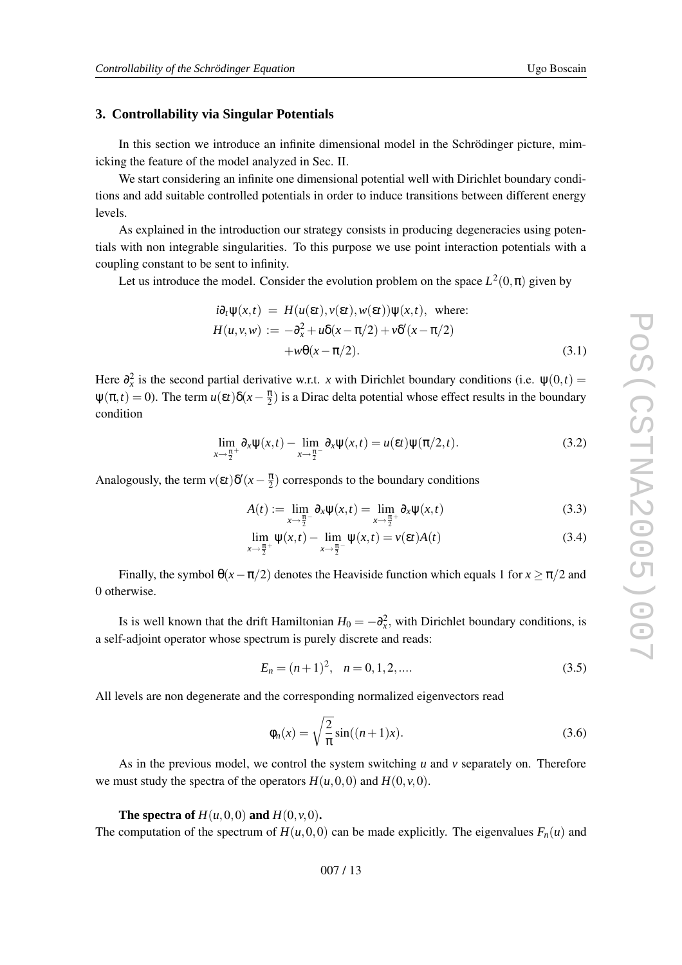## <span id="page-12-0"></span>**3. Controllability via Singular Potentials**

In this section we introduce an infinite dimensional model in the Schrödinger picture, mimicking the feature of the model analyzed in Sec. II.

We start considering an infinite one dimensional potential well with Dirichlet boundary conditions and add suitable controlled potentials in order to induce transitions between different energy le vels.

As explained in the introduction our strategy consists in producing degeneracies using potentials with non integrable singularities. To this purpose we use point interaction potentials with a coupling constant to be sent to infinity .

Let us introduce the model. Consider the evolution problem on the space  $L^2(0, \pi)$  given by

$$
i\partial_t \Psi(x,t) = H(u(\varepsilon t), v(\varepsilon t), w(\varepsilon t)) \Psi(x,t), \text{ where:}
$$
  
\n
$$
H(u,v,w) := -\partial_x^2 + u\delta(x - \pi/2) + v\delta'(x - \pi/2)
$$
  
\n
$$
+w\theta(x - \pi/2).
$$
\n(3.1)

Here  $\partial_x^2$  is the second partial derivative w.r.t. *x* with Dirichlet boundary conditions (i.e.  $\psi(0,t)$ ) =  $\psi(\pi, t) = 0$ ). The term  $u(\epsilon t) \delta(x - \frac{\pi}{2})$  is a Dirac delta potential whose effect results in the boundary condition

$$
\lim_{x \to \frac{\pi}{2}^+} \partial_x \psi(x,t) - \lim_{x \to \frac{\pi}{2}^-} \partial_x \psi(x,t) = u(\varepsilon t) \psi(\pi/2,t). \tag{3.2}
$$

Analogously, the term  $v(\varepsilon t)\delta'(x-\frac{\pi}{2})$  corresponds to the boundary conditions

$$
A(t) := \lim_{x \to \frac{\pi}{2}^-} \partial_x \psi(x, t) = \lim_{x \to \frac{\pi}{2}^+} \partial_x \psi(x, t)
$$
\n(3.3)

$$
\lim_{x \to \frac{\pi}{2}^+} \psi(x,t) - \lim_{x \to \frac{\pi}{2}^-} \psi(x,t) = v(\varepsilon t)A(t)
$$
\n(3.4)

Finally, the symbol  $\theta(x-\pi/2)$  denotes the Heaviside function which equals 1 for  $x \ge \pi/2$  and 0 otherwise.

Is is well known that the drift Hamiltonian  $H_0 = -\partial_x^2$ , with Dirichlet boundary conditions, is a self-adjoint operator whose spectrum is purely discrete and reads:

$$
E_n = (n+1)^2, \quad n = 0, 1, 2, \dots
$$
\n(3.5)

All le vels are non degenerate and the corresponding normalized eigenvectors read

$$
\phi_n(x) = \sqrt{\frac{2}{\pi}} \sin((n+1)x). \tag{3.6}
$$

As in the previous model, we control the system switching *u* and *v* separately on. Therefore we must study the spectra of the operators  $H(u, 0, 0)$  and  $H(0, v, 0)$ .

#### **The spectra of**  $H(u, 0, 0)$  and  $H(0, v, 0)$ .

The computation of the spectrum of  $H(u, 0, 0)$  can be made explicitly. The eigenvalues  $F_n(u)$  and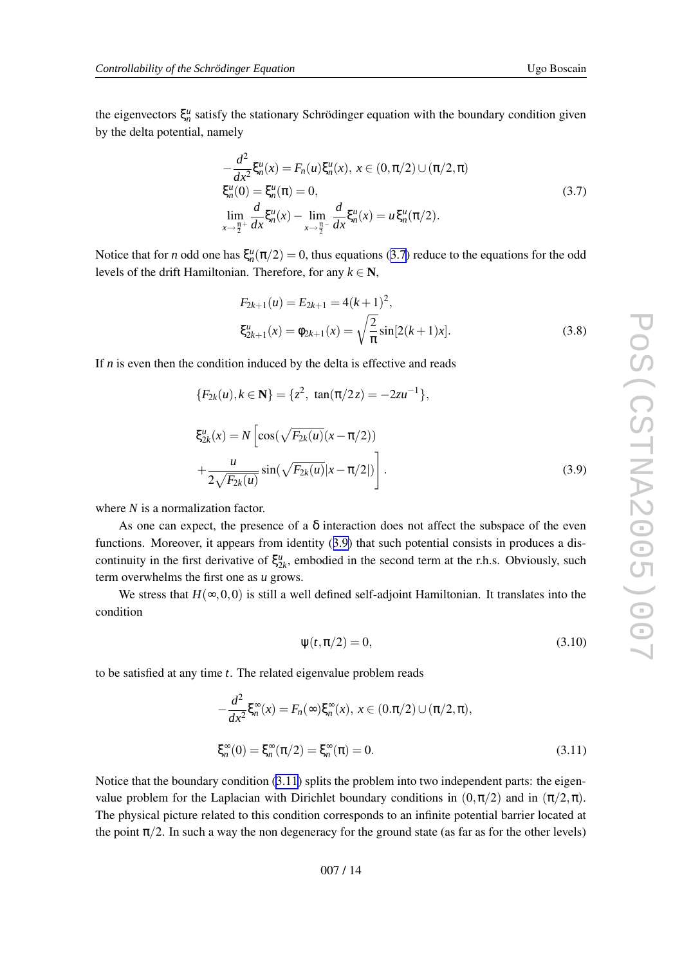the eigenvectors  $\xi_n^u$  satisfy the stationary Schrödinger equation with the boundary condition given by the delta potential, namely

$$
-\frac{d^2}{dx^2}\xi_n^u(x) = F_n(u)\xi_n^u(x), x \in (0, \pi/2) \cup (\pi/2, \pi)
$$
  
\n
$$
\xi_n^u(0) = \xi_n^u(\pi) = 0,
$$
  
\n
$$
\lim_{x \to \frac{\pi}{2}^+} \frac{d}{dx}\xi_n^u(x) - \lim_{x \to \frac{\pi}{2}^-} \frac{d}{dx}\xi_n^u(x) = u\xi_n^u(\pi/2).
$$
\n(3.7)

Notice that for *n* odd one has  $\xi_n^u(\pi/2) = 0$ , thus equations (3.7) reduce to the equations for the odd levels of the drift Hamiltonian. Therefore, for any  $k \in \mathbb{N}$ ,

$$
F_{2k+1}(u) = E_{2k+1} = 4(k+1)^2,
$$
  
\n
$$
\xi_{2k+1}^u(x) = \phi_{2k+1}(x) = \sqrt{\frac{2}{\pi}} \sin[2(k+1)x].
$$
\n(3.8)

If  $n$  is even then the condition induced by the delta is effective and reads

$$
\{F_{2k}(u), k \in \mathbf{N}\} = \{z^2, \tan(\pi/2z) = -2zu^{-1}\},
$$
  

$$
\xi_{2k}^u(x) = N \left[\cos(\sqrt{F_{2k}(u)}(x - \pi/2))\right]
$$
  

$$
+\frac{u}{2\sqrt{F_{2k}(u)}}\sin(\sqrt{F_{2k}(u)}|x - \pi/2|)\right].
$$
 (3.9)

where *N* is a normalization factor.

As one can expect, the presence of a  $\delta$  interaction does not affect the subspace of the even functions. Moreover, it appears from identity (3.9) that such potential consists in produces a discontinuity in the first derivative of  $\xi_{2k}^u$ , embodied in the second term at the r.h.s. Obviously, such term o verwhelms the first one as *u* grows.

We stress that  $H(\infty, 0, 0)$  is still a well defined self-adjoint Hamiltonian. It translates into the condition

$$
\psi(t, \pi/2) = 0,\tag{3.10}
$$

to be satisfied at an y time *t* . The related eigenvalue problem reads

$$
-\frac{d^2}{dx^2}\xi_n^{\infty}(x) = F_n(\infty)\xi_n^{\infty}(x), \ x \in (0.\pi/2) \cup (\pi/2, \pi),
$$
  

$$
\xi_n^{\infty}(0) = \xi_n^{\infty}(\pi/2) = \xi_n^{\infty}(\pi) = 0.
$$
 (3.11)

Notice that the boundary condition (3.11) splits the problem into two independent parts: the eigenvalue problem for the Laplacian with Dirichlet boundary conditions in  $(0, \pi/2)$  and in  $(\pi/2, \pi)$ . The physical picture related to this condition corresponds to an infinite potential barrier located at the point  $\pi/2$ . In such a way the non degeneracy for the ground state (as far as for the other levels)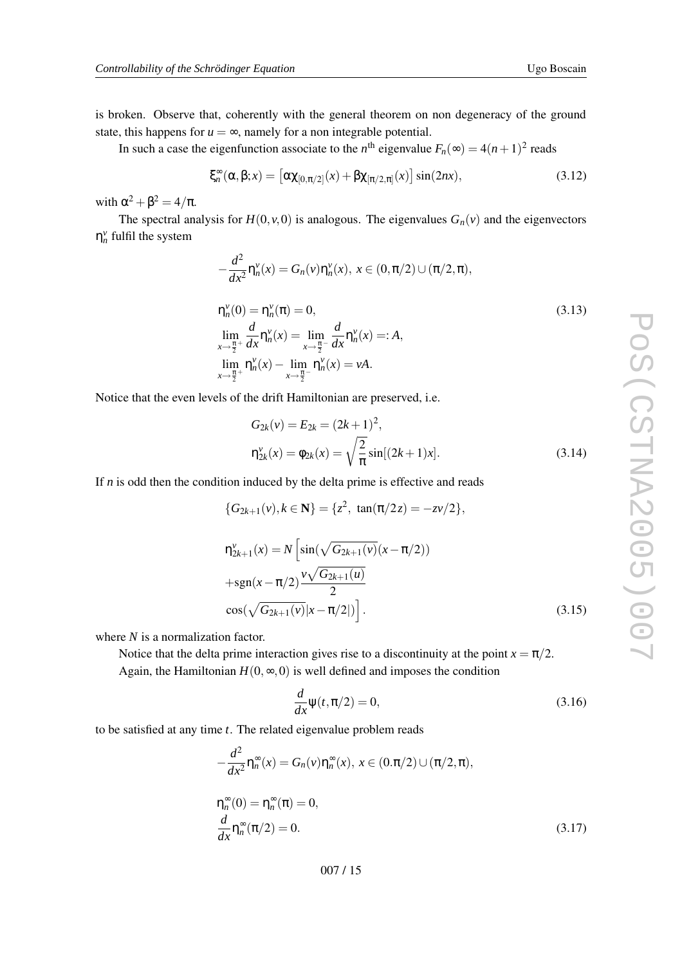<span id="page-14-0"></span>is broken. Observe that, coherently with the general theorem on non degeneracy of the ground state, this happens for  $u = \infty$ , namely for a non integrable potential.

In such a case the eigenfunction associate to the  $n^{\text{th}}$  eigenvalue  $F_n(\infty) = 4(n+1)^2$  reads

$$
\xi_n^{\infty}(\alpha, \beta; x) = \left[\alpha \chi_{[0,\pi/2]}(x) + \beta \chi_{[\pi/2,\pi]}(x)\right] \sin(2nx),\tag{3.12}
$$

with  $\alpha^2 + \beta^2 = 4/\pi$ .

The spectral analysis for  $H(0, v, 0)$  is analogous. The eigenvalues  $G_n(v)$  and the eigenvectors  $\eta_n^{\nu}$  fulfil the system

$$
-\frac{d^2}{dx^2}\eta_n^{\nu}(x) = G_n(\nu)\eta_n^{\nu}(x), \ x \in (0, \pi/2) \cup (\pi/2, \pi),
$$
  
\n
$$
\eta_n^{\nu}(0) = \eta_n^{\nu}(\pi) = 0,
$$
  
\n
$$
\lim_{x \to \frac{\pi}{2}^+} \frac{d}{dx}\eta_n^{\nu}(x) = \lim_{x \to \frac{\pi}{2}^-} \frac{d}{dx}\eta_n^{\nu}(x) =: A,
$$
  
\n
$$
\lim_{x \to \frac{\pi}{2}^+} \eta_n^{\nu}(x) - \lim_{x \to \frac{\pi}{2}^-} \eta_n^{\nu}(x) = \nu A.
$$
\n(3.13)

Notice that the even levels of the drift Hamiltonian are preserved, i.e.

$$
G_{2k}(v) = E_{2k} = (2k+1)^2,
$$
  
\n
$$
\eta_{2k}^v(x) = \phi_{2k}(x) = \sqrt{\frac{2}{\pi}} \sin[(2k+1)x].
$$
\n(3.14)

If *n* is odd then the condition induced by the delta prime is effective and reads

$$
\{G_{2k+1}(v), k \in \mathbf{N}\} = \{z^2, \tan(\pi/2z) = -zv/2\},
$$
  
\n
$$
\eta_{2k+1}^v(x) = N \left[ \sin(\sqrt{G_{2k+1}(v)}(x - \pi/2)) + \text{sgn}(x - \pi/2) \frac{v\sqrt{G_{2k+1}(u)}}{2} \right]
$$
  
\n
$$
\cos(\sqrt{G_{2k+1}(v)}|x - \pi/2|) \Big].
$$
\n(3.15)

where *N* is a normalization factor.

Notice that the delta prime interaction gives rise to a discontinuity at the point  $x = \pi/2$ . Again, the Hamiltonian  $H(0, \infty, 0)$  is well defined and imposes the condition

$$
\frac{d}{dx}\psi(t,\pi/2) = 0,\t\t(3.16)
$$

to be satisfied at an y time *t* . The related eigenvalue problem reads

$$
-\frac{d^2}{dx^2}\eta_n^{\infty}(x) = G_n(v)\eta_n^{\infty}(x), \ x \in (0.\pi/2) \cup (\pi/2, \pi),
$$
  

$$
\eta_n^{\infty}(0) = \eta_n^{\infty}(\pi) = 0,
$$
  

$$
\frac{d}{dx}\eta_n^{\infty}(\pi/2) = 0.
$$
 (3.17)

007 / 15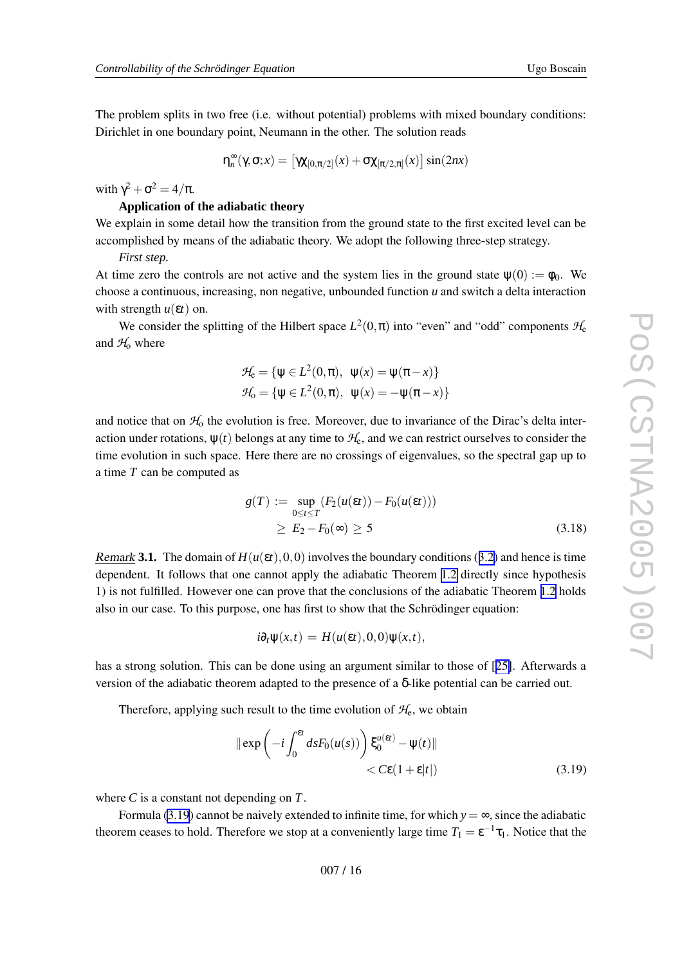The problem splits in tw o free (i.e. without potential) problems with mixed boundary conditions: Dirichlet in one boundary point, Neumann in the other . The solution reads

$$
\eta_n^{\infty}(\gamma, \sigma; x) = \left[ \gamma \chi_{[0, \pi/2]}(x) + \sigma \chi_{[\pi/2, \pi]}(x) \right] \sin(2nx)
$$

with  $\gamma^2 + \sigma^2 = 4/\pi$ .

# **Application of the adiabatic theory**

We explain in some detail how the transition from the ground state to the first excited level can be accomplished by means of the adiabatic theory . We adopt the following three-step strategy .

*First step.*

At time zero the controls are not active and the system lies in the ground state  $\psi(0) := \phi_0$ . We choose a continuous, increasing, non ne gati ve, unbounded function *u* and switch a delta interaction with strength  $u(\varepsilon t)$  on.

We consider the splitting of the Hilbert space  $L^2(0,\pi)$  into "even" and "odd" components  $\mathcal{H}_e$ and  $H_0$  where

$$
\mathcal{H}_{e} = \{ \psi \in L^{2}(0, \pi), \ \psi(x) = \psi(\pi - x) \}
$$

$$
\mathcal{H}_{o} = \{ \psi \in L^{2}(0, \pi), \ \psi(x) = -\psi(\pi - x) \}
$$

and notice that on  $H_0$  the evolution is free. Moreover, due to invariance of the Dirac's delta interaction under rotations,  $\psi(t)$  belongs at any time to  $\mathcal{H}_{\rm e}$ , and we can restrict ourselves to consider the time e volution in such space. Here there are no crossings of eigenvalues, so the spectral gap up to a time *T* can be computed as

$$
g(T) := \sup_{0 \le t \le T} (F_2(u(\varepsilon t)) - F_0(u(\varepsilon t)))
$$
  
 
$$
\ge E_2 - F_0(\infty) \ge 5
$$
 (3.18)

Remark 3.1. The domain of  $H(u(\varepsilon t), 0, 0)$  involves the boundary conditions ([3.2](#page-12-0)) and hence is time dependent. It follows that one cannot apply the adiabatic Theorem [1.2](#page-4-0) directly since hypothesis 1) is not fulfilled. However one can prove that the conclusions of the adiabatic Theorem [1.2](#page-4-0) holds also in our case. To this purpose, one has first to sho w that the Schrödinger equation:

$$
i\partial_t \psi(x,t) = H(u(\varepsilon t),0,0)\psi(x,t),
$$

has a strong solution. This can be done using an argument similar to those of [[25\]](#page-17-0). Afterwards a version of the adiabatic theorem adapted to the presence of a δ-lik e potential can be carried out.

Therefore, applying such result to the time evolution of  $H_e$ , we obtain

$$
\|\exp\left(-i\int_0^{\epsilon t} ds F_0(u(s))\right) \xi_0^{u(\epsilon t)} - \psi(t)\|
$$
  
< 
$$
< C\epsilon (1+\epsilon|t|)
$$
 (3.19)

where *C* is a constant not depending on *T* .

Formula (3.19) cannot be naively extended to infinite time, for which  $y = \infty$ , since the adiabatic theorem ceases to hold. Therefore we stop at a conveniently large time  $T_1 = \varepsilon^{-1} \tau_1$ . Notice that the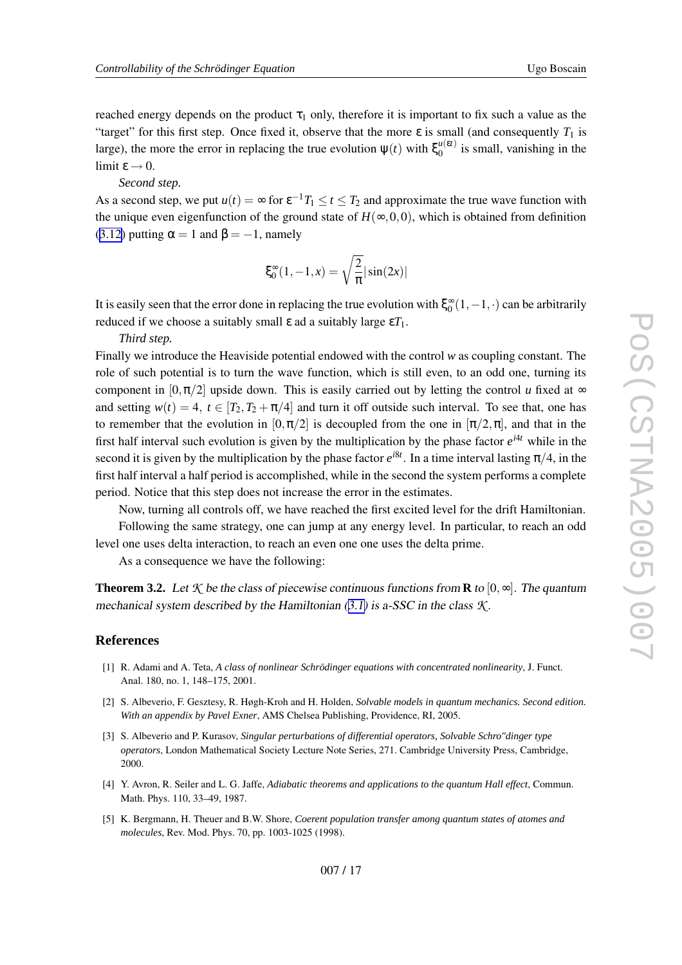<span id="page-16-0"></span>reached energy depends on the product  $\tau_1$  only, therefore it is important to fix such a value as the "target" for this first step. Once fixed it, observe that the more  $\varepsilon$  is small (and consequently  $T_1$  is large), the more the error in replacing the true evolution  $\psi(t)$  with  $\xi_0^{\mu(\epsilon t)}$  $\binom{u(\varepsilon)}{0}$  is small, vanishing in the limit  $\varepsilon \to 0$ .

#### *Second step.*

As a second step, we put  $u(t) = \infty$  for  $\epsilon^{-1}T_1 \le t \le T_2$  and approximate the true wave function with the unique even eigenfunction of the ground state of  $H(\infty, 0, 0)$ , which is obtained from definition ([3.12](#page-14-0)) putting  $\alpha = 1$  and  $\beta = -1$ , namely

$$
\xi_0^{\infty}(1, -1, x) = \sqrt{\frac{2}{\pi}} |\sin(2x)|
$$

It is easily seen that the error done in replacing the true evolution with  $\xi_0^{\infty}(1,-1,\cdot)$  can be arbitrarily reduced if we choose a suitably small ε ad a suitably large ε *T*1 .

*Third step.*

Finally we introduce the Heaviside potential endowed with the control *w* as coupling constant. The role of such potential is to turn the wave function, which is still even, to an odd one, turning its component in  $[0, \pi/2]$  upside down. This is easily carried out by letting the control u fixed at  $\infty$ and setting  $w(t) = 4$ ,  $t \in [T_2, T_2 + \pi/4]$  and turn it off outside such interval. To see that, one has to remember that the evolution in  $[0, \pi/2]$  is decoupled from the one in  $[\pi/2, \pi]$ , and that in the first half interval such evolution is given by the multiplication by the phase factor  $e^{i4t}$  while in the second it is given by the multiplication by the phase factor  $e^{i8t}$ . In a time interval lasting  $\pi/4$ , in the first half interval a half period is accomplished, while in the second the system performs a complete period. Notice that this step does not increase the error in the estimates.

No w , turning all controls off, we ha v e reached the first excited le vel for the drift Hamiltonian. Following the same strategy, one can jump at any energy level. In particular, to reach an odd le vel one uses delta interaction, to reach an e ven one one uses the delta prime.

As a consequence we have the following:

**Theorem 3.2.** Let  $K$  be the class of piecewise continuous functions from **R** to  $[0, \infty]$ . The quantum mechanical system described by the Hamiltonian [\(3.1\)](#page-12-0) is a-SSC in the class *K* .

#### **References**

- [1] R. Adami and A. Teta, *A class of nonlinear Schrödinger equations with concentrated nonlinearity* , J. Funct. Anal. 180, no. 1, 148–175, 2001.
- [2] S. Albe verio, F. Gesztesy , R. Høgh-Kroh and H. Holden, *Solvable models in quantum mechanics. Second edition. With an appendix by Pavel Exner* , AMS Chelsea Publishing, Providence, RI, 2005.
- [3] S. Albe verio and P. Kuraso v , *Singular perturbations of differential operators, Solvable Schro"dinger type operators* , London Mathematical Society Lecture Note Series, 271. Cambridge Uni versity Press, Cambridge, 2000.
- [4] Y. Avron, R. Seiler and L. G. Jaffe, *Adiabatic theorems and applications to the quantum Hall effect* , Commun. Math. Phys. 110, 33–49, 1987.
- [5] K. Bergmann, H. Theuer and B.W. Shore, *Coerent population transfer among quantum states of atomes and molecules* , Re v . Mod. Phys. 70, pp. 1003-1025 (1998).